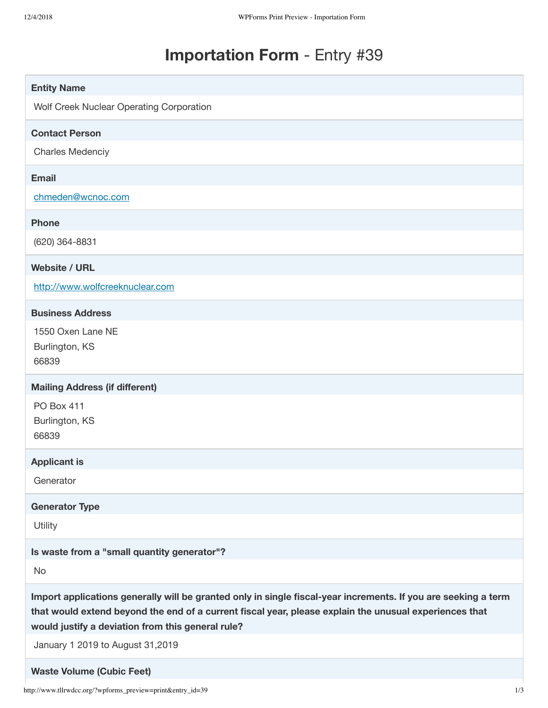# **Importation Form** - Entry #39

| <b>Entity Name</b>                                                                                             |
|----------------------------------------------------------------------------------------------------------------|
| Wolf Creek Nuclear Operating Corporation                                                                       |
|                                                                                                                |
| <b>Contact Person</b>                                                                                          |
| <b>Charles Medenciy</b>                                                                                        |
| <b>Email</b>                                                                                                   |
| chmeden@wcnoc.com                                                                                              |
|                                                                                                                |
| <b>Phone</b>                                                                                                   |
| (620) 364-8831                                                                                                 |
| <b>Website / URL</b>                                                                                           |
| http://www.wolfcreeknuclear.com                                                                                |
| <b>Business Address</b>                                                                                        |
| 1550 Oxen Lane NE                                                                                              |
| Burlington, KS                                                                                                 |
| 66839                                                                                                          |
|                                                                                                                |
| <b>Mailing Address (if different)</b>                                                                          |
| PO Box 411                                                                                                     |
| Burlington, KS                                                                                                 |
| 66839                                                                                                          |
| <b>Applicant is</b>                                                                                            |
| Generator                                                                                                      |
| <b>Generator Type</b>                                                                                          |
| Utility                                                                                                        |
| Is waste from a "small quantity generator"?                                                                    |
| No                                                                                                             |
| Import applications generally will be granted only in single fiscal-year increments. If you are seeking a term |
| that would extend beyond the end of a current fiscal year, please explain the unusual experiences that         |
| would justify a deviation from this general rule?                                                              |
| January 1 2019 to August 31,2019                                                                               |
|                                                                                                                |
| <b>Waste Volume (Cubic Feet)</b>                                                                               |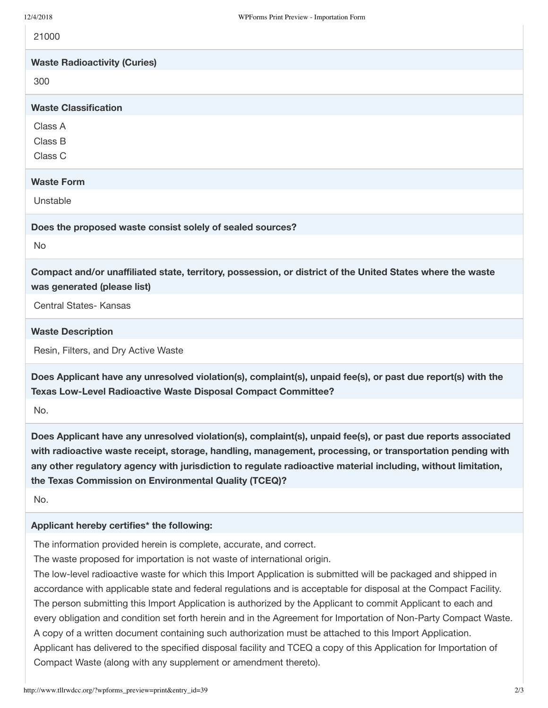21000

**Waste Radioactivity (Curies)**

300

## **Waste Classification**

Class A

Class B

Class C

# **Waste Form**

Unstable

#### **Does the proposed waste consist solely of sealed sources?**

No

**Compact and/or unaffiliated state, territory, possession, or district of the United States where the waste was generated (please list)**

Central States- Kansas

#### **Waste Description**

Resin, Filters, and Dry Active Waste

**Does Applicant have any unresolved violation(s), complaint(s), unpaid fee(s), or past due report(s) with the Texas Low-Level Radioactive Waste Disposal Compact Committee?**

No.

**Does Applicant have any unresolved violation(s), complaint(s), unpaid fee(s), or past due reports associated with radioactive waste receipt, storage, handling, management, processing, or transportation pending with any other regulatory agency with jurisdiction to regulate radioactive material including, without limitation, the Texas Commission on Environmental Quality (TCEQ)?**

No.

## **Applicant hereby certifies\* the following:**

The information provided herein is complete, accurate, and correct.

The waste proposed for importation is not waste of international origin.

The low-level radioactive waste for which this Import Application is submitted will be packaged and shipped in accordance with applicable state and federal regulations and is acceptable for disposal at the Compact Facility. The person submitting this Import Application is authorized by the Applicant to commit Applicant to each and every obligation and condition set forth herein and in the Agreement for Importation of Non-Party Compact Waste. A copy of a written document containing such authorization must be attached to this Import Application. Applicant has delivered to the specified disposal facility and TCEQ a copy of this Application for Importation of Compact Waste (along with any supplement or amendment thereto).